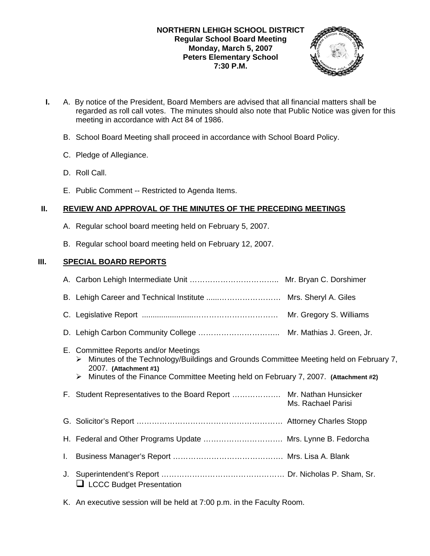## **NORTHERN LEHIGH SCHOOL DISTRICT Regular School Board Meeting Monday, March 5, 2007 Peters Elementary School 7:30 P.M.**



- **I.** A. By notice of the President, Board Members are advised that all financial matters shall be regarded as roll call votes. The minutes should also note that Public Notice was given for this meeting in accordance with Act 84 of 1986.
	- B. School Board Meeting shall proceed in accordance with School Board Policy.
	- C. Pledge of Allegiance.
	- D. Roll Call.
	- E. Public Comment -- Restricted to Agenda Items.

## **II. REVIEW AND APPROVAL OF THE MINUTES OF THE PRECEDING MEETINGS**

- A. Regular school board meeting held on February 5, 2007.
- B. Regular school board meeting held on February 12, 2007.

## **III. SPECIAL BOARD REPORTS**

|    |                                                                                                                                                                                                                                                        | Mr. Gregory S. Williams |
|----|--------------------------------------------------------------------------------------------------------------------------------------------------------------------------------------------------------------------------------------------------------|-------------------------|
|    |                                                                                                                                                                                                                                                        |                         |
|    | E. Committee Reports and/or Meetings<br>Minutes of the Technology/Buildings and Grounds Committee Meeting held on February 7,<br>≻<br>2007. (Attachment #1)<br>Minutes of the Finance Committee Meeting held on February 7, 2007. (Attachment #2)<br>➤ |                         |
|    | F. Student Representatives to the Board Report  Mr. Nathan Hunsicker                                                                                                                                                                                   | Ms. Rachael Parisi      |
|    |                                                                                                                                                                                                                                                        |                         |
|    | H. Federal and Other Programs Update  Mrs. Lynne B. Fedorcha                                                                                                                                                                                           |                         |
| I. |                                                                                                                                                                                                                                                        |                         |
|    | $\Box$ LCCC Budget Presentation                                                                                                                                                                                                                        |                         |

K. An executive session will be held at 7:00 p.m. in the Faculty Room.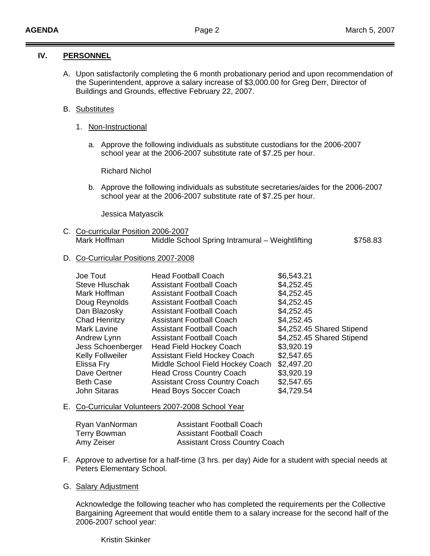# **IV. PERSONNEL**

A. Upon satisfactorily completing the 6 month probationary period and upon recommendation of the Superintendent, approve a salary increase of \$3,000.00 for Greg Derr, Director of Buildings and Grounds, effective February 22, 2007.

# B. Substitutes

- 1. Non-Instructional
	- a. Approve the following individuals as substitute custodians for the 2006-2007 school year at the 2006-2007 substitute rate of \$7.25 per hour.

Richard Nichol

b. Approve the following individuals as substitute secretaries/aides for the 2006-2007 school year at the 2006-2007 substitute rate of \$7.25 per hour.

Jessica Matyascik

C. Co-curricular Position 2006-2007 Mark Hoffman Middle School Spring Intramural – Weightlifting \$758.83

## D. Co-Curricular Positions 2007-2008

| Joe Tout                | <b>Head Football Coach</b>           | \$6,543.21                |
|-------------------------|--------------------------------------|---------------------------|
| Steve Hluschak          | <b>Assistant Football Coach</b>      | \$4,252.45                |
| Mark Hoffman            | Assistant Football Coach             | \$4,252.45                |
| Doug Reynolds           | <b>Assistant Football Coach</b>      | \$4,252.45                |
| Dan Blazosky            | <b>Assistant Football Coach</b>      | \$4,252.45                |
| Chad Henritzy           | <b>Assistant Football Coach</b>      | \$4,252.45                |
| Mark Lavine             | <b>Assistant Football Coach</b>      | \$4,252.45 Shared Stipend |
| Andrew Lynn             | <b>Assistant Football Coach</b>      | \$4,252.45 Shared Stipend |
| Jess Schoenberger       | <b>Head Field Hockey Coach</b>       | \$3,920.19                |
| <b>Kelly Follweiler</b> | <b>Assistant Field Hockey Coach</b>  | \$2,547.65                |
| Elissa Fry              | Middle School Field Hockey Coach     | \$2,497.20                |
| Dave Oertner            | <b>Head Cross Country Coach</b>      | \$3,920.19                |
| <b>Beth Case</b>        | <b>Assistant Cross Country Coach</b> | \$2,547.65                |
| <b>John Sitaras</b>     | <b>Head Boys Soccer Coach</b>        | \$4,729.54                |

### E. Co-Curricular Volunteers 2007-2008 School Year

| Ryan VanNorman | <b>Assistant Football Coach</b>      |
|----------------|--------------------------------------|
| Terry Bowman   | <b>Assistant Football Coach</b>      |
| Amy Zeiser     | <b>Assistant Cross Country Coach</b> |

F. Approve to advertise for a half-time (3 hrs. per day) Aide for a student with special needs at Peters Elementary School.

## G. Salary Adjustment

 Acknowledge the following teacher who has completed the requirements per the Collective Bargaining Agreement that would entitle them to a salary increase for the second half of the 2006-2007 school year:

Kristin Skinker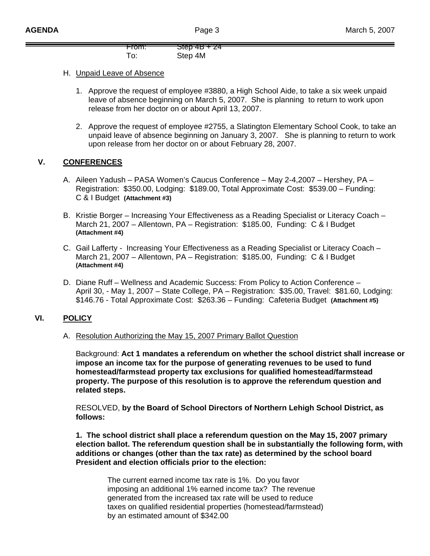| $\overline{a}$<br>नामा. | $700 + 24$ |
|-------------------------|------------|
|                         | Step 4M    |

## H. Unpaid Leave of Absence

- 1. Approve the request of employee #3880, a High School Aide, to take a six week unpaid leave of absence beginning on March 5, 2007. She is planning to return to work upon release from her doctor on or about April 13, 2007.
- 2. Approve the request of employee #2755, a Slatington Elementary School Cook, to take an unpaid leave of absence beginning on January 3, 2007. She is planning to return to work upon release from her doctor on or about February 28, 2007.

# **V. CONFERENCES**

- A. Aileen Yadush PASA Women's Caucus Conference May 2-4,2007 Hershey, PA Registration: \$350.00, Lodging: \$189.00, Total Approximate Cost: \$539.00 – Funding: C & I Budget **(Attachment #3)**
- B. Kristie Borger Increasing Your Effectiveness as a Reading Specialist or Literacy Coach March 21, 2007 – Allentown, PA – Registration: \$185.00, Funding: C & I Budget **(Attachment #4)**
- C. Gail Lafferty Increasing Your Effectiveness as a Reading Specialist or Literacy Coach March 21, 2007 – Allentown, PA – Registration: \$185.00, Funding: C & I Budget **(Attachment #4)**
- D. Diane Ruff Wellness and Academic Success: From Policy to Action Conference April 30, - May 1, 2007 – State College, PA – Registration: \$35.00, Travel: \$81.60, Lodging: \$146.76 - Total Approximate Cost: \$263.36 – Funding: Cafeteria Budget **(Attachment #5)**

# **VI. POLICY**

## A. Resolution Authorizing the May 15, 2007 Primary Ballot Question

Background: **Act 1 mandates a referendum on whether the school district shall increase or impose an income tax for the purpose of generating revenues to be used to fund homestead/farmstead property tax exclusions for qualified homestead/farmstead property. The purpose of this resolution is to approve the referendum question and related steps.** 

RESOLVED, **by the Board of School Directors of Northern Lehigh School District, as follows:** 

**1. The school district shall place a referendum question on the May 15, 2007 primary election ballot. The referendum question shall be in substantially the following form, with additions or changes (other than the tax rate) as determined by the school board President and election officials prior to the election:** 

The current earned income tax rate is 1%. Do you favor imposing an additional 1% earned income tax? The revenue generated from the increased tax rate will be used to reduce taxes on qualified residential properties (homestead/farmstead) by an estimated amount of \$342.00